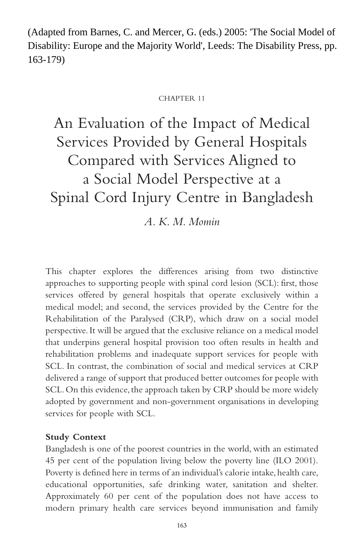(Adapted from Barnes, C. and Mercer, G. (eds.) 2005: 'The Social Model of Disability: Europe and the Majority World', Leeds: The Disability Press, pp. 163-179)

#### CHAPTER 11

An Evaluation of the Impact of Medical Services Provided by General Hospitals Compared with Services Aligned to a Social Model Perspective at a Spinal Cord Injury Centre in Bangladesh

*A. K. M. Momin*

This chapter explores the differences arising from two distinctive approaches to supporting people with spinal cord lesion (SCL): first, those services offered by general hospitals that operate exclusively within a medical model; and second, the services provided by the Centre for the Rehabilitation of the Paralysed (CRP), which draw on a social model perspective. It will be argued that the exclusive reliance on a medical model that underpins general hospital provision too often results in health and rehabilitation problems and inadequate support services for people with SCL. In contrast, the combination of social and medical services at CRP delivered a range of support that produced better outcomes for people with SCL. On this evidence, the approach taken by CRP should be more widely adopted by government and non-government organisations in developing services for people with SCL.

# **Study Context**

Bangladesh is one of the poorest countries in the world, with an estimated 45 per cent of the population living below the poverty line (ILO 2001). Poverty is defined here in terms of an individual's calorie intake, health care, educational opportunities, safe drinking water, sanitation and shelter. Approximately 60 per cent of the population does not have access to modern primary health care services beyond immunisation and family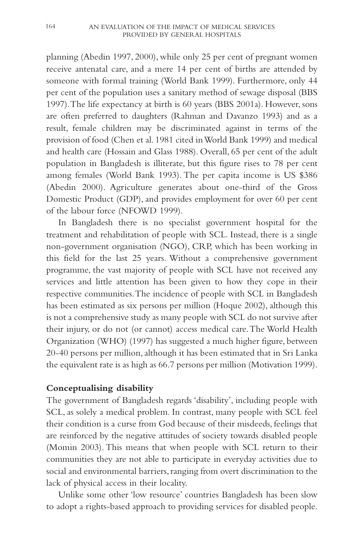planning (Abedin 1997, 2000), while only 25 per cent of pregnant women receive antenatal care, and a mere 14 per cent of births are attended by someone with formal training (World Bank 1999). Furthermore, only 44 per cent of the population uses a sanitary method of sewage disposal (BBS 1997).The life expectancy at birth is 60 years (BBS 2001a). However, sons are often preferred to daughters (Rahman and Davanzo 1993) and as a result, female children may be discriminated against in terms of the provision of food (Chen et al. 1981 cited in World Bank 1999) and medical and health care (Hossain and Glass 1988). Overall, 65 per cent of the adult population in Bangladesh is illiterate, but this figure rises to 78 per cent among females (World Bank 1993). The per capita income is US \$386 (Abedin 2000). Agriculture generates about one-third of the Gross Domestic Product (GDP), and provides employment for over 60 per cent of the labour force (NFOWD 1999).

In Bangladesh there is no specialist government hospital for the treatment and rehabilitation of people with SCL. Instead, there is a single non-government organisation (NGO), CRP, which has been working in this field for the last 25 years. Without a comprehensive government programme, the vast majority of people with SCL have not received any services and little attention has been given to how they cope in their respective communities.The incidence of people with SCL in Bangladesh has been estimated as six persons per million (Hoque 2002), although this is not a comprehensive study as many people with SCL do not survive after their injury, or do not (or cannot) access medical care.The World Health Organization (WHO) (1997) has suggested a much higher figure, between 20-40 persons per million, although it has been estimated that in Sri Lanka the equivalent rate is as high as 66.7 persons per million (Motivation 1999).

# **Conceptualising disability**

The government of Bangladesh regards 'disability', including people with SCL, as solely a medical problem. In contrast, many people with SCL feel their condition is a curse from God because of their misdeeds, feelings that are reinforced by the negative attitudes of society towards disabled people (Momin 2003). This means that when people with SCL return to their communities they are not able to participate in everyday activities due to social and environmental barriers, ranging from overt discrimination to the lack of physical access in their locality.

Unlike some other 'low resource' countries Bangladesh has been slow to adopt a rights-based approach to providing services for disabled people.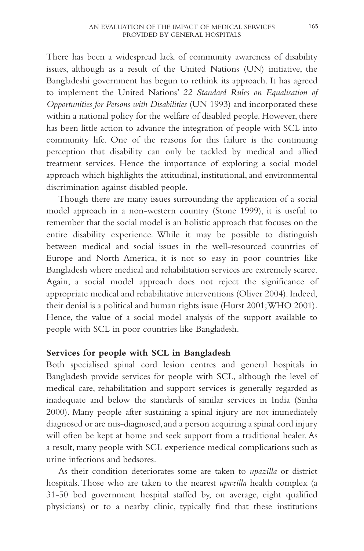There has been a widespread lack of community awareness of disability issues, although as a result of the United Nations (UN) initiative, the Bangladeshi government has begun to rethink its approach. It has agreed to implement the United Nations' *22 Standard Rules on Equalisation of Opportunities for Persons with Disabilities* (UN 1993) and incorporated these within a national policy for the welfare of disabled people. However, there has been little action to advance the integration of people with SCL into community life. One of the reasons for this failure is the continuing perception that disability can only be tackled by medical and allied treatment services. Hence the importance of exploring a social model approach which highlights the attitudinal, institutional, and environmental discrimination against disabled people.

Though there are many issues surrounding the application of a social model approach in a non-western country (Stone 1999), it is useful to remember that the social model is an holistic approach that focuses on the entire disability experience. While it may be possible to distinguish between medical and social issues in the well-resourced countries of Europe and North America, it is not so easy in poor countries like Bangladesh where medical and rehabilitation services are extremely scarce. Again, a social model approach does not reject the significance of appropriate medical and rehabilitative interventions (Oliver 2004). Indeed, their denial is a political and human rights issue (Hurst 2001;WHO 2001). Hence, the value of a social model analysis of the support available to people with SCL in poor countries like Bangladesh.

# **Services for people with SCL in Bangladesh**

Both specialised spinal cord lesion centres and general hospitals in Bangladesh provide services for people with SCL, although the level of medical care, rehabilitation and support services is generally regarded as inadequate and below the standards of similar services in India (Sinha 2000). Many people after sustaining a spinal injury are not immediately diagnosed or are mis-diagnosed,and a person acquiring a spinal cord injury will often be kept at home and seek support from a traditional healer. As a result, many people with SCL experience medical complications such as urine infections and bedsores.

As their condition deteriorates some are taken to *upazilla* or district hospitals.Those who are taken to the nearest *upazilla* health complex (a 31-50 bed government hospital staffed by, on average, eight qualified physicians) or to a nearby clinic, typically find that these institutions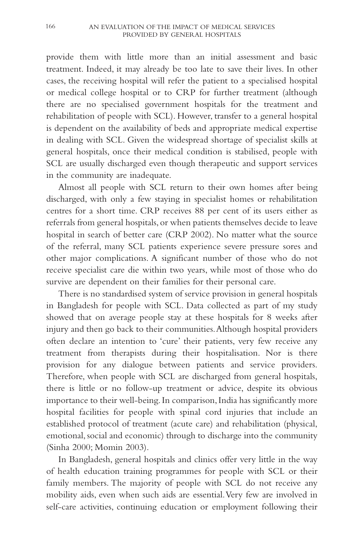provide them with little more than an initial assessment and basic treatment. Indeed, it may already be too late to save their lives. In other cases, the receiving hospital will refer the patient to a specialised hospital or medical college hospital or to CRP for further treatment (although there are no specialised government hospitals for the treatment and rehabilitation of people with SCL). However, transfer to a general hospital is dependent on the availability of beds and appropriate medical expertise in dealing with SCL. Given the widespread shortage of specialist skills at general hospitals, once their medical condition is stabilised, people with SCL are usually discharged even though therapeutic and support services in the community are inadequate.

Almost all people with SCL return to their own homes after being discharged, with only a few staying in specialist homes or rehabilitation centres for a short time. CRP receives 88 per cent of its users either as referrals from general hospitals,or when patients themselves decide to leave hospital in search of better care (CRP 2002). No matter what the source of the referral, many SCL patients experience severe pressure sores and other major complications. A significant number of those who do not receive specialist care die within two years, while most of those who do survive are dependent on their families for their personal care.

There is no standardised system of service provision in general hospitals in Bangladesh for people with SCL. Data collected as part of my study showed that on average people stay at these hospitals for 8 weeks after injury and then go back to their communities.Although hospital providers often declare an intention to 'cure' their patients, very few receive any treatment from therapists during their hospitalisation. Nor is there provision for any dialogue between patients and service providers. Therefore, when people with SCL are discharged from general hospitals, there is little or no follow-up treatment or advice, despite its obvious importance to their well-being.In comparison,India has significantly more hospital facilities for people with spinal cord injuries that include an established protocol of treatment (acute care) and rehabilitation (physical, emotional, social and economic) through to discharge into the community (Sinha 2000; Momin 2003).

In Bangladesh, general hospitals and clinics offer very little in the way of health education training programmes for people with SCL or their family members. The majority of people with SCL do not receive any mobility aids, even when such aids are essential.Very few are involved in self-care activities, continuing education or employment following their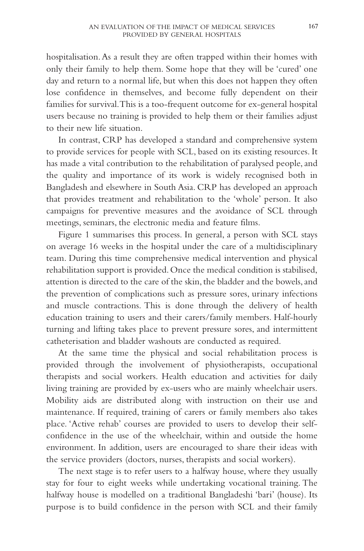hospitalisation.As a result they are often trapped within their homes with only their family to help them. Some hope that they will be 'cured' one day and return to a normal life, but when this does not happen they often lose confidence in themselves, and become fully dependent on their families for survival.This is a too-frequent outcome for ex-general hospital users because no training is provided to help them or their families adjust to their new life situation.

In contrast, CRP has developed a standard and comprehensive system to provide services for people with SCL, based on its existing resources. It has made a vital contribution to the rehabilitation of paralysed people, and the quality and importance of its work is widely recognised both in Bangladesh and elsewhere in South Asia. CRP has developed an approach that provides treatment and rehabilitation to the 'whole' person. It also campaigns for preventive measures and the avoidance of SCL through meetings, seminars, the electronic media and feature films.

Figure 1 summarises this process. In general, a person with SCL stays on average 16 weeks in the hospital under the care of a multidisciplinary team. During this time comprehensive medical intervention and physical rehabilitation support is provided. Once the medical condition is stabilised, attention is directed to the care of the skin, the bladder and the bowels, and the prevention of complications such as pressure sores, urinary infections and muscle contractions. This is done through the delivery of health education training to users and their carers/family members. Half-hourly turning and lifting takes place to prevent pressure sores, and intermittent catheterisation and bladder washouts are conducted as required.

At the same time the physical and social rehabilitation process is provided through the involvement of physiotherapists, occupational therapists and social workers. Health education and activities for daily living training are provided by ex-users who are mainly wheelchair users. Mobility aids are distributed along with instruction on their use and maintenance. If required, training of carers or family members also takes place. 'Active rehab' courses are provided to users to develop their selfconfidence in the use of the wheelchair, within and outside the home environment. In addition, users are encouraged to share their ideas with the service providers (doctors, nurses, therapists and social workers).

The next stage is to refer users to a halfway house, where they usually stay for four to eight weeks while undertaking vocational training. The halfway house is modelled on a traditional Bangladeshi 'bari' (house). Its purpose is to build confidence in the person with SCL and their family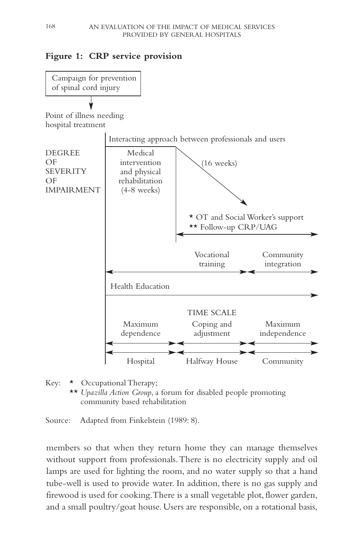# **Figure 1: CRP service provision**



Key: \* Occupational Therapy; \*\* *Upazilla Action Group*, a forum for disabled people promoting community based rehabilitation

Source: Adapted from Finkelstein (1989: 8).

members so that when they return home they can manage themselves without support from professionals.There is no electricity supply and oil lamps are used for lighting the room, and no water supply so that a hand tube-well is used to provide water. In addition, there is no gas supply and firewood is used for cooking.There is a small vegetable plot, flower garden, and a small poultry/goat house. Users are responsible, on a rotational basis,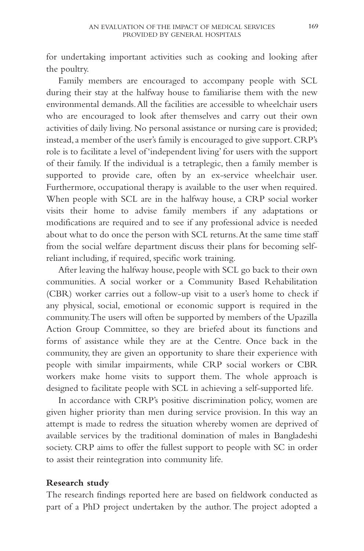for undertaking important activities such as cooking and looking after the poultry.

Family members are encouraged to accompany people with SCL during their stay at the halfway house to familiarise them with the new environmental demands.All the facilities are accessible to wheelchair users who are encouraged to look after themselves and carry out their own activities of daily living. No personal assistance or nursing care is provided; instead,a member of the user's family is encouraged to give support.CRP's role is to facilitate a level of 'independent living' for users with the support of their family. If the individual is a tetraplegic, then a family member is supported to provide care, often by an ex-service wheelchair user. Furthermore, occupational therapy is available to the user when required. When people with SCL are in the halfway house, a CRP social worker visits their home to advise family members if any adaptations or modifications are required and to see if any professional advice is needed about what to do once the person with SCL returns.At the same time staff from the social welfare department discuss their plans for becoming selfreliant including, if required, specific work training.

After leaving the halfway house, people with SCL go back to their own communities. A social worker or a Community Based Rehabilitation (CBR) worker carries out a follow-up visit to a user's home to check if any physical, social, emotional or economic support is required in the community.The users will often be supported by members of the Upazilla Action Group Committee, so they are briefed about its functions and forms of assistance while they are at the Centre. Once back in the community, they are given an opportunity to share their experience with people with similar impairments, while CRP social workers or CBR workers make home visits to support them. The whole approach is designed to facilitate people with SCL in achieving a self-supported life.

In accordance with CRP's positive discrimination policy, women are given higher priority than men during service provision. In this way an attempt is made to redress the situation whereby women are deprived of available services by the traditional domination of males in Bangladeshi society. CRP aims to offer the fullest support to people with SC in order to assist their reintegration into community life.

#### **Research study**

The research findings reported here are based on fieldwork conducted as part of a PhD project undertaken by the author. The project adopted a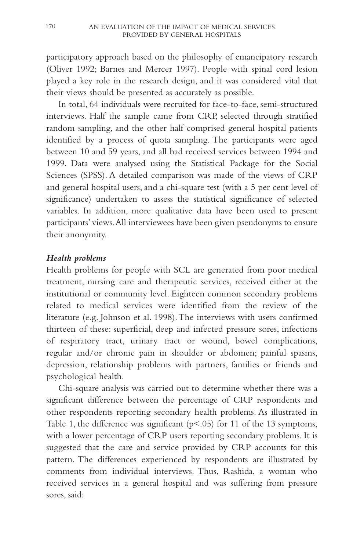participatory approach based on the philosophy of emancipatory research (Oliver 1992; Barnes and Mercer 1997). People with spinal cord lesion played a key role in the research design, and it was considered vital that their views should be presented as accurately as possible.

In total, 64 individuals were recruited for face-to-face, semi-structured interviews. Half the sample came from CRP, selected through stratified random sampling, and the other half comprised general hospital patients identified by a process of quota sampling. The participants were aged between 10 and 59 years, and all had received services between 1994 and 1999. Data were analysed using the Statistical Package for the Social Sciences (SPSS). A detailed comparison was made of the views of CRP and general hospital users, and a chi-square test (with a 5 per cent level of significance) undertaken to assess the statistical significance of selected variables. In addition, more qualitative data have been used to present participants' views.All interviewees have been given pseudonyms to ensure their anonymity.

### *Health problems*

Health problems for people with SCL are generated from poor medical treatment, nursing care and therapeutic services, received either at the institutional or community level. Eighteen common secondary problems related to medical services were identified from the review of the literature (e.g. Johnson et al. 1998).The interviews with users confirmed thirteen of these: superficial, deep and infected pressure sores, infections of respiratory tract, urinary tract or wound, bowel complications, regular and/or chronic pain in shoulder or abdomen; painful spasms, depression, relationship problems with partners, families or friends and psychological health.

Chi-square analysis was carried out to determine whether there was a significant difference between the percentage of CRP respondents and other respondents reporting secondary health problems. As illustrated in Table 1, the difference was significant (p<.05) for 11 of the 13 symptoms, with a lower percentage of CRP users reporting secondary problems. It is suggested that the care and service provided by CRP accounts for this pattern. The differences experienced by respondents are illustrated by comments from individual interviews. Thus, Rashida, a woman who received services in a general hospital and was suffering from pressure sores, said: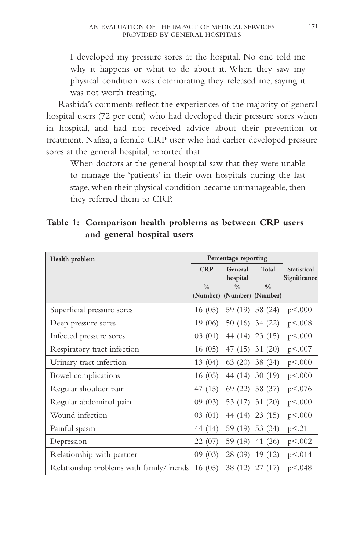I developed my pressure sores at the hospital. No one told me why it happens or what to do about it. When they saw my physical condition was deteriorating they released me, saying it was not worth treating.

Rashida's comments reflect the experiences of the majority of general hospital users (72 per cent) who had developed their pressure sores when in hospital, and had not received advice about their prevention or treatment. Nafiza, a female CRP user who had earlier developed pressure sores at the general hospital, reported that:

When doctors at the general hospital saw that they were unable to manage the 'patients' in their own hospitals during the last stage, when their physical condition became unmanageable, then they referred them to CRP.

| Table 1: Comparison health problems as between CRP users |
|----------------------------------------------------------|
| and general hospital users                               |

| Health problem                            | Percentage reporting      |                     |                                    |                                    |
|-------------------------------------------|---------------------------|---------------------|------------------------------------|------------------------------------|
|                                           | <b>CRP</b>                | General<br>hospital | Total                              | <b>Statistical</b><br>Significance |
|                                           | $\frac{0}{0}$<br>(Number) | $\frac{0}{0}$       | $\frac{0}{0}$<br>(Number) (Number) |                                    |
| Superficial pressure sores                | 16(05)                    | 59 (19)             | 38 (24)                            | p < .000                           |
| Deep pressure sores                       | 19 (06)                   | 50(16)              | 34 (22)                            | p < .008                           |
| Infected pressure sores                   | 03(01)                    | 44 (14)             | 23(15)                             | p < .000                           |
| Respiratory tract infection               | 16(05)                    | 47(15)              | 31(20)                             | p<.007                             |
| Urinary tract infection                   | 13 (04)                   | 63 (20)             | 38 (24)                            | p < .000                           |
| Bowel complications                       | 16(05)                    | 44 (14)             | 30(19)                             | p < .000                           |
| Regular shoulder pain                     | 47 (15)                   | 69 (22)             | 58 (37)                            | p<.076                             |
| Regular abdominal pain                    | 09(03)                    | 53 (17)             | 31(20)                             | p < .000                           |
| Wound infection                           | 03(01)                    | 44 (14)             | 23(15)                             | p < .000                           |
| Painful spasm                             | 44 (14)                   | 59 (19)             | 53 (34)                            | p < 211                            |
| Depression                                | 22 (07)                   | 59 (19)             | 41 (26)                            | p < .002                           |
| Relationship with partner                 | 09(03)                    | 28 (09)             | 19 (12)                            | p < 0.014                          |
| Relationship problems with family/friends | 16(05)                    | 38 (12)             | 27(17)                             | p < .048                           |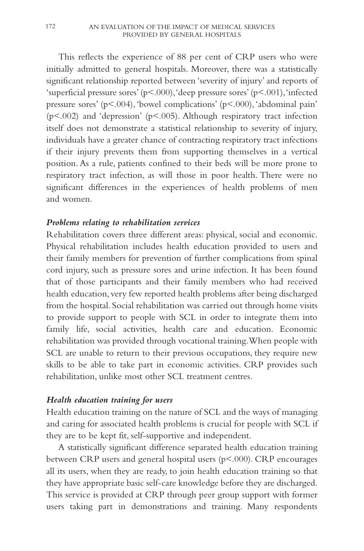This reflects the experience of 88 per cent of CRP users who were initially admitted to general hospitals. Moreover, there was a statistically significant relationship reported between 'severity of injury' and reports of 'superficial pressure sores' (p<.000),'deep pressure sores' (p<.001),'infected pressure sores' ( $p$ <.004), 'bowel complications' ( $p$ <.000), 'abdominal pain' ( $p$ <.002) and 'depression' ( $p$ <.005). Although respiratory tract infection itself does not demonstrate a statistical relationship to severity of injury, individuals have a greater chance of contracting respiratory tract infections if their injury prevents them from supporting themselves in a vertical position. As a rule, patients confined to their beds will be more prone to respiratory tract infection, as will those in poor health. There were no significant differences in the experiences of health problems of men and women.

### *Problems relating to rehabilitation services*

Rehabilitation covers three different areas: physical, social and economic. Physical rehabilitation includes health education provided to users and their family members for prevention of further complications from spinal cord injury, such as pressure sores and urine infection. It has been found that of those participants and their family members who had received health education, very few reported health problems after being discharged from the hospital. Social rehabilitation was carried out through home visits to provide support to people with SCL in order to integrate them into family life, social activities, health care and education. Economic rehabilitation was provided through vocational training.When people with SCL are unable to return to their previous occupations, they require new skills to be able to take part in economic activities. CRP provides such rehabilitation, unlike most other SCL treatment centres.

#### *Health education training for users*

Health education training on the nature of SCL and the ways of managing and caring for associated health problems is crucial for people with SCL if they are to be kept fit, self-supportive and independent.

A statistically significant difference separated health education training between CRP users and general hospital users (p<.000). CRP encourages all its users, when they are ready, to join health education training so that they have appropriate basic self-care knowledge before they are discharged. This service is provided at CRP through peer group support with former users taking part in demonstrations and training. Many respondents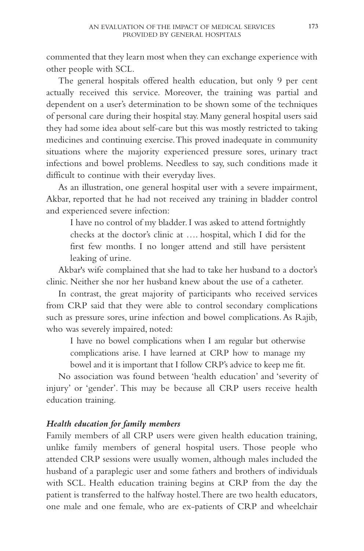commented that they learn most when they can exchange experience with other people with SCL.

The general hospitals offered health education, but only 9 per cent actually received this service. Moreover, the training was partial and dependent on a user's determination to be shown some of the techniques of personal care during their hospital stay. Many general hospital users said they had some idea about self-care but this was mostly restricted to taking medicines and continuing exercise.This proved inadequate in community situations where the majority experienced pressure sores, urinary tract infections and bowel problems. Needless to say, such conditions made it difficult to continue with their everyday lives.

As an illustration, one general hospital user with a severe impairment, Akbar, reported that he had not received any training in bladder control and experienced severe infection:

I have no control of my bladder. I was asked to attend fortnightly checks at the doctor's clinic at …. hospital, which I did for the first few months. I no longer attend and still have persistent leaking of urine.

Akbar's wife complained that she had to take her husband to a doctor's clinic. Neither she nor her husband knew about the use of a catheter.

In contrast, the great majority of participants who received services from CRP said that they were able to control secondary complications such as pressure sores, urine infection and bowel complications. As Rajib, who was severely impaired, noted:

I have no bowel complications when I am regular but otherwise complications arise. I have learned at CRP how to manage my bowel and it is important that I follow CRP's advice to keep me fit.

No association was found between 'health education' and 'severity of injury' or 'gender'. This may be because all CRP users receive health education training.

# *Health education for family members*

Family members of all CRP users were given health education training, unlike family members of general hospital users. Those people who attended CRP sessions were usually women, although males included the husband of a paraplegic user and some fathers and brothers of individuals with SCL. Health education training begins at CRP from the day the patient is transferred to the halfway hostel.There are two health educators, one male and one female, who are ex-patients of CRP and wheelchair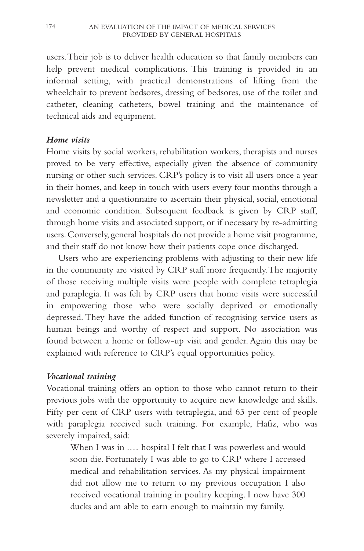users.Their job is to deliver health education so that family members can help prevent medical complications. This training is provided in an informal setting, with practical demonstrations of lifting from the wheelchair to prevent bedsores, dressing of bedsores, use of the toilet and catheter, cleaning catheters, bowel training and the maintenance of technical aids and equipment.

### *Home visits*

Home visits by social workers, rehabilitation workers, therapists and nurses proved to be very effective, especially given the absence of community nursing or other such services. CRP's policy is to visit all users once a year in their homes, and keep in touch with users every four months through a newsletter and a questionnaire to ascertain their physical, social, emotional and economic condition. Subsequent feedback is given by CRP staff, through home visits and associated support, or if necessary by re-admitting users. Conversely, general hospitals do not provide a home visit programme, and their staff do not know how their patients cope once discharged.

Users who are experiencing problems with adjusting to their new life in the community are visited by CRP staff more frequently.The majority of those receiving multiple visits were people with complete tetraplegia and paraplegia. It was felt by CRP users that home visits were successful in empowering those who were socially deprived or emotionally depressed. They have the added function of recognising service users as human beings and worthy of respect and support. No association was found between a home or follow-up visit and gender. Again this may be explained with reference to CRP's equal opportunities policy.

# *Vocational training*

Vocational training offers an option to those who cannot return to their previous jobs with the opportunity to acquire new knowledge and skills. Fifty per cent of CRP users with tetraplegia, and 63 per cent of people with paraplegia received such training. For example, Hafiz, who was severely impaired, said:

When I was in .... hospital I felt that I was powerless and would soon die. Fortunately I was able to go to CRP where I accessed medical and rehabilitation services. As my physical impairment did not allow me to return to my previous occupation I also received vocational training in poultry keeping. I now have 300 ducks and am able to earn enough to maintain my family.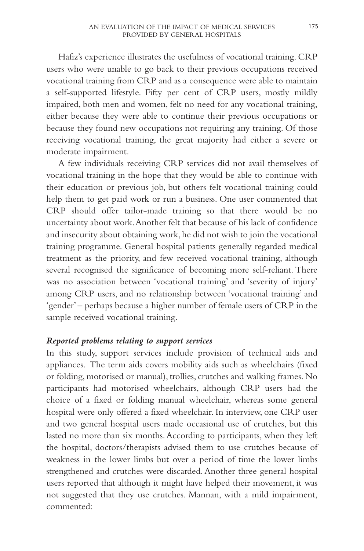Hafiz's experience illustrates the usefulness of vocational training. CRP users who were unable to go back to their previous occupations received vocational training from CRP and as a consequence were able to maintain a self-supported lifestyle. Fifty per cent of CRP users, mostly mildly impaired, both men and women, felt no need for any vocational training, either because they were able to continue their previous occupations or because they found new occupations not requiring any training. Of those receiving vocational training, the great majority had either a severe or moderate impairment.

A few individuals receiving CRP services did not avail themselves of vocational training in the hope that they would be able to continue with their education or previous job, but others felt vocational training could help them to get paid work or run a business. One user commented that CRP should offer tailor-made training so that there would be no uncertainty about work.Another felt that because of his lack of confidence and insecurity about obtaining work, he did not wish to join the vocational training programme. General hospital patients generally regarded medical treatment as the priority, and few received vocational training, although several recognised the significance of becoming more self-reliant. There was no association between 'vocational training' and 'severity of injury' among CRP users, and no relationship between 'vocational training' and 'gender' – perhaps because a higher number of female users of CRP in the sample received vocational training.

#### *Reported problems relating to support services*

In this study, support services include provision of technical aids and appliances. The term aids covers mobility aids such as wheelchairs (fixed or folding, motorised or manual), trollies, crutches and walking frames. No participants had motorised wheelchairs, although CRP users had the choice of a fixed or folding manual wheelchair, whereas some general hospital were only offered a fixed wheelchair. In interview, one CRP user and two general hospital users made occasional use of crutches, but this lasted no more than six months.According to participants, when they left the hospital, doctors/therapists advised them to use crutches because of weakness in the lower limbs but over a period of time the lower limbs strengthened and crutches were discarded. Another three general hospital users reported that although it might have helped their movement, it was not suggested that they use crutches. Mannan, with a mild impairment, commented: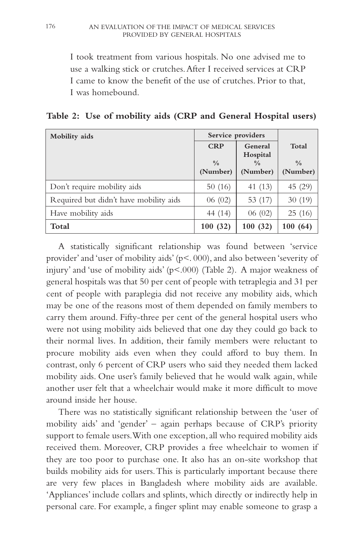I took treatment from various hospitals. No one advised me to use a walking stick or crutches.After I received services at CRP I came to know the benefit of the use of crutches. Prior to that, I was homebound.

**Table 2: Use of mobility aids (CRP and General Hospital users)**

| Mobility aids                          | Service providers                       |                                                  |                                    |
|----------------------------------------|-----------------------------------------|--------------------------------------------------|------------------------------------|
|                                        | <b>CRP</b><br>$\frac{0}{0}$<br>(Number) | General<br>Hospital<br>$\frac{0}{0}$<br>(Number) | Total<br>$\frac{0}{0}$<br>(Number) |
| Don't require mobility aids            | 50(16)                                  | 41 (13)                                          | 45 (29)                            |
| Required but didn't have mobility aids | 06(02)                                  | 53 (17)                                          | 30(19)                             |
| Have mobility aids                     | 44 (14)                                 | 06(02)                                           | 25(16)                             |
| Total                                  | 100(32)                                 | 100(32)                                          | 100(64)                            |

A statistically significant relationship was found between 'service provider' and 'user of mobility aids' (p<. 000), and also between 'severity of injury' and 'use of mobility aids' ( $p \le 0.000$ ) (Table 2). A major weakness of general hospitals was that 50 per cent of people with tetraplegia and 31 per cent of people with paraplegia did not receive any mobility aids, which may be one of the reasons most of them depended on family members to carry them around. Fifty-three per cent of the general hospital users who were not using mobility aids believed that one day they could go back to their normal lives. In addition, their family members were reluctant to procure mobility aids even when they could afford to buy them. In contrast, only 6 percent of CRP users who said they needed them lacked mobility aids. One user's family believed that he would walk again, while another user felt that a wheelchair would make it more difficult to move around inside her house.

There was no statistically significant relationship between the 'user of mobility aids' and 'gender' – again perhaps because of CRP's priority support to female users. With one exception, all who required mobility aids received them. Moreover, CRP provides a free wheelchair to women if they are too poor to purchase one. It also has an on-site workshop that builds mobility aids for users.This is particularly important because there are very few places in Bangladesh where mobility aids are available. 'Appliances' include collars and splints, which directly or indirectly help in personal care. For example, a finger splint may enable someone to grasp a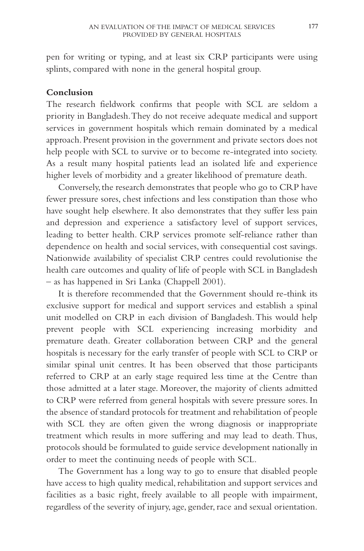pen for writing or typing, and at least six CRP participants were using splints, compared with none in the general hospital group.

### **Conclusion**

The research fieldwork confirms that people with SCL are seldom a priority in Bangladesh.They do not receive adequate medical and support services in government hospitals which remain dominated by a medical approach.Present provision in the government and private sectors does not help people with SCL to survive or to become re-integrated into society. As a result many hospital patients lead an isolated life and experience higher levels of morbidity and a greater likelihood of premature death.

Conversely, the research demonstrates that people who go to CRP have fewer pressure sores, chest infections and less constipation than those who have sought help elsewhere. It also demonstrates that they suffer less pain and depression and experience a satisfactory level of support services, leading to better health. CRP services promote self-reliance rather than dependence on health and social services, with consequential cost savings. Nationwide availability of specialist CRP centres could revolutionise the health care outcomes and quality of life of people with SCL in Bangladesh – as has happened in Sri Lanka (Chappell 2001).

It is therefore recommended that the Government should re-think its exclusive support for medical and support services and establish a spinal unit modelled on CRP in each division of Bangladesh.This would help prevent people with SCL experiencing increasing morbidity and premature death. Greater collaboration between CRP and the general hospitals is necessary for the early transfer of people with SCL to CRP or similar spinal unit centres. It has been observed that those participants referred to CRP at an early stage required less time at the Centre than those admitted at a later stage. Moreover, the majority of clients admitted to CRP were referred from general hospitals with severe pressure sores. In the absence of standard protocols for treatment and rehabilitation of people with SCL they are often given the wrong diagnosis or inappropriate treatment which results in more suffering and may lead to death. Thus, protocols should be formulated to guide service development nationally in order to meet the continuing needs of people with SCL.

The Government has a long way to go to ensure that disabled people have access to high quality medical, rehabilitation and support services and facilities as a basic right, freely available to all people with impairment, regardless of the severity of injury, age, gender, race and sexual orientation.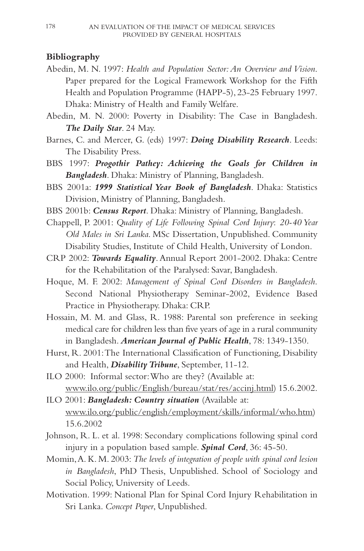# **Bibliography**

- Abedin, M. N. 1997: *Health and Population Sector: An Overview and Vision*. Paper prepared for the Logical Framework Workshop for the Fifth Health and Population Programme (HAPP-5), 23-25 February 1997. Dhaka: Ministry of Health and Family Welfare.
- Abedin, M. N. 2000: Poverty in Disability: The Case in Bangladesh. *The Daily Star*. 24 May.
- Barnes, C. and Mercer, G. (eds) 1997: *Doing Disability Research*. Leeds: The Disability Press.
- BBS 1997: *Progothir Pathey: Achieving the Goals for Children in Bangladesh*. Dhaka: Ministry of Planning, Bangladesh.
- BBS 2001a: *1999 Statistical Year Book of Bangladesh*. Dhaka: Statistics Division, Ministry of Planning, Bangladesh.
- BBS 2001b: *Census Report*. Dhaka: Ministry of Planning, Bangladesh.
- Chappell, P. 2001: *Quality of Life Following Spinal Cord Injury*: *20-40 Year Old Males in Sri Lanka*. MSc Dissertation, Unpublished. Community Disability Studies, Institute of Child Health, University of London.
- CRP 2002: *Towards Equality*. Annual Report 2001-2002. Dhaka: Centre for the Rehabilitation of the Paralysed: Savar, Bangladesh.
- Hoque, M. F. 2002: *Management of Spinal Cord Disorders in Bangladesh*. Second National Physiotherapy Seminar-2002, Evidence Based Practice in Physiotherapy. Dhaka: CRP.
- Hossain, M. M. and Glass, R. 1988: Parental son preference in seeking medical care for children less than five years of age in a rural community in Bangladesh. *American Journal of Public Health*, 78: 1349-1350.
- Hurst, R. 2001:The International Classification of Functioning, Disability and Health, *Disability Tribune*, September, 11-12.
- ILO 2000: Informal sector:Who are they? (Available at: www.ilo.org/public/English/bureau/stat/res/accinj.html) 15.6.2002.
- ILO 2001: *Bangladesh: Country situation* (Available at: www.ilo.org/public/english/employment/skills/informal/who.htm) 15.6.2002
- Johnson, R. L. et al. 1998: Secondary complications following spinal cord injury in a population based sample. *Spinal Cord*, 36: 45-50.
- Momin,A. K. M. 2003: *The levels of integration of people with spinal cord lesion in Bangladesh*, PhD Thesis, Unpublished. School of Sociology and Social Policy, University of Leeds.
- Motivation. 1999: National Plan for Spinal Cord Injury Rehabilitation in Sri Lanka. *Concept Paper*, Unpublished.